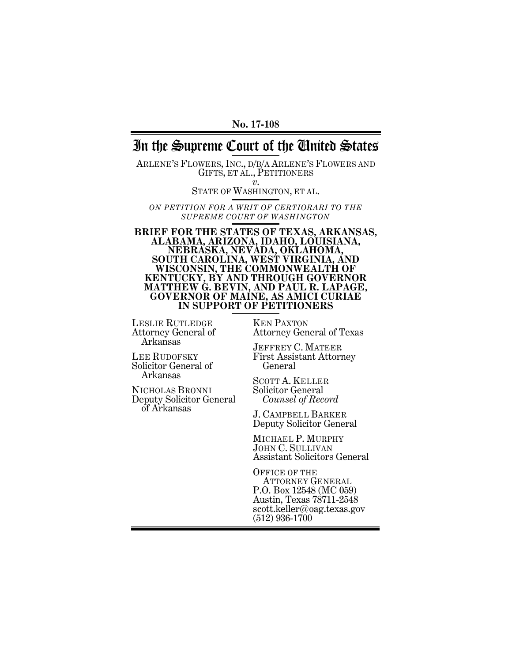#### **No. 17-108**

# In the Supreme Court of the United States

ARLENE'S FLOWERS, INC., D/B/A ARLENE'S FLOWERS AND GIFTS, ET AL., PETITIONERS *<sup>v</sup>*. STATE OF WASHINGTON, ET AL.

*ON PETITION FOR A WRIT OF CERTIORARI TO THE SUPREME COURT OF WASHINGTON*

**BRIEF FOR THE STATES OF TEXAS, ARKANSAS, ALABAMA, ARIZONA, IDAHO, LOUISIANA, NEBRASKA, NEVADA, OKLAHOMA, SOUTH CAROLINA, WEST VIRGINIA, AND WISCONSIN, THE COMMONWEALTH OF KENTUCKY, BY AND THROUGH GOVERNOR MATTHEW G. BEVIN, AND PAUL R. LAPAGE, GOVERNOR OF MAINE, AS AMICI CURIAE IN SUPPORT OF PETITIONERS**

LESLIE RUTLEDGE Attorney General of Arkansas

LEE RUDOFSKY Solicitor General of Arkansas

NICHOLAS BRONNI Deputy Solicitor General of Arkansas

KEN PAXTON Attorney General of Texas

JEFFREY C. MATEER First Assistant Attorney General

SCOTT A. KELLER Solicitor General  *Counsel of Record*

J. CAMPBELL BARKER Deputy Solicitor General

MICHAEL P. MURPHY JOHN C. SULLIVAN Assistant Solicitors General

OFFICE OF THE ATTORNEY GENERAL P.O. Box 12548 (MC 059) Austin, Texas 78711-2548 scott.keller@oag.texas.gov (512) 936-1700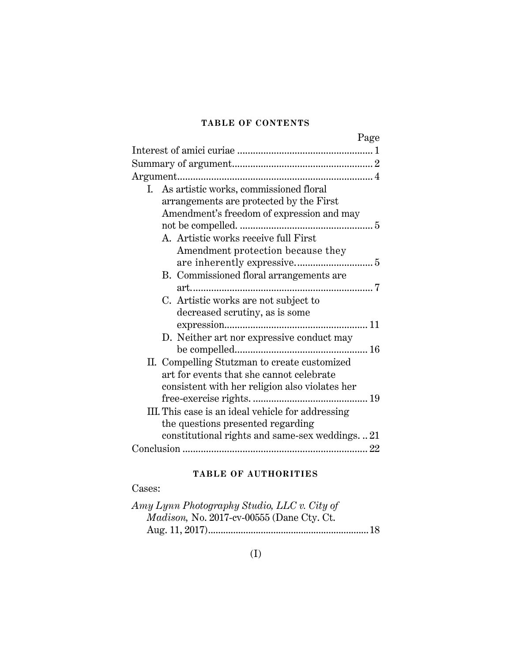# **TABLE OF CONTENTS**

| Page                                              |
|---------------------------------------------------|
|                                                   |
|                                                   |
|                                                   |
| I. As artistic works, commissioned floral         |
| arrangements are protected by the First           |
| Amendment's freedom of expression and may         |
|                                                   |
| A. Artistic works receive full First              |
| Amendment protection because they                 |
|                                                   |
| B. Commissioned floral arrangements are           |
|                                                   |
| C. Artistic works are not subject to              |
| decreased scrutiny, as is some                    |
|                                                   |
| D. Neither art nor expressive conduct may         |
|                                                   |
| II. Compelling Stutzman to create customized      |
| art for events that she cannot celebrate          |
| consistent with her religion also violates her    |
|                                                   |
| III. This case is an ideal vehicle for addressing |
| the questions presented regarding                 |
| constitutional rights and same-sex weddings21     |
|                                                   |

# **TABLE OF AUTHORITIES**

# Cases:

| Amy Lynn Photography Studio, LLC v. City of       |  |
|---------------------------------------------------|--|
| <i>Madison</i> , No. 2017-cv-00555 (Dane Cty. Ct. |  |
|                                                   |  |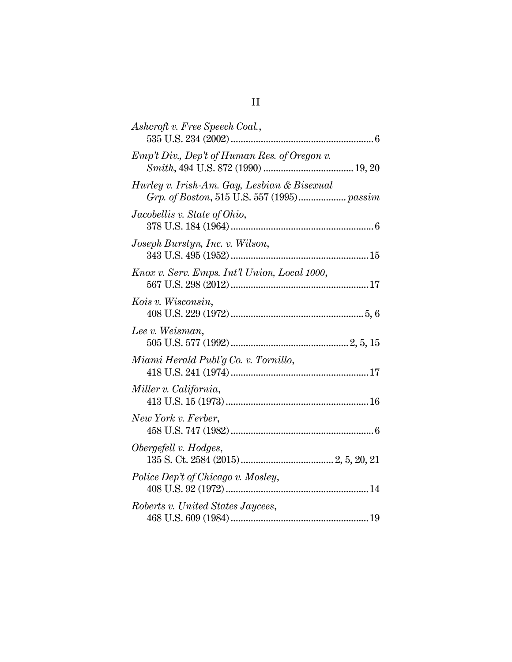| Ashcroft v. Free Speech Coal.,               |
|----------------------------------------------|
| Emp't Div., Dep't of Human Res. of Oregon v. |
| Hurley v. Irish-Am. Gay, Lesbian & Bisexual  |
| Jacobellis v. State of Ohio,                 |
| Joseph Burstyn, Inc. v. Wilson,              |
| Knox v. Serv. Emps. Int'l Union, Local 1000, |
| Kois v. Wisconsin,                           |
| Lee v. Weisman,                              |
| Miami Herald Publ'g Co. v. Tornillo,         |
| Miller v. California,                        |
| New York v. Ferber,                          |
| Obergefell v. Hodges,                        |
| Police Dep't of Chicago v. Mosley,           |
| Roberts v. United States Jaycees,            |
|                                              |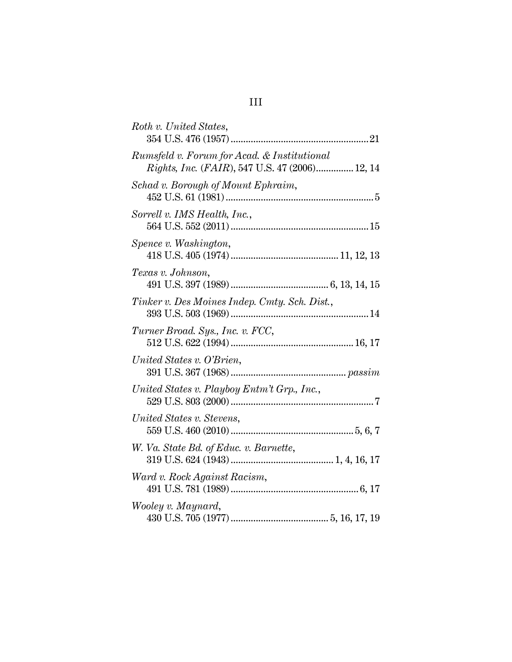| Roth v. United States,                                                                        |
|-----------------------------------------------------------------------------------------------|
| Rumsfeld v. Forum for Acad. & Institutional<br>Rights, Inc. (FAIR), 547 U.S. 47 (2006) 12, 14 |
| Schad v. Borough of Mount Ephraim,                                                            |
| Sorrell v. IMS Health, Inc.,                                                                  |
| Spence v. Washington,                                                                         |
| Texas v. Johnson,                                                                             |
| Tinker v. Des Moines Indep. Cmty. Sch. Dist.,                                                 |
| Turner Broad. Sys., Inc. v. FCC,                                                              |
| United States v. O'Brien,                                                                     |
| United States v. Playboy Entm't Grp., Inc.,                                                   |
| United States v. Stevens,                                                                     |
| W. Va. State Bd. of Educ. v. Barnette,                                                        |
| Ward v. Rock Against Racism,                                                                  |
| Wooley v. Maynard,                                                                            |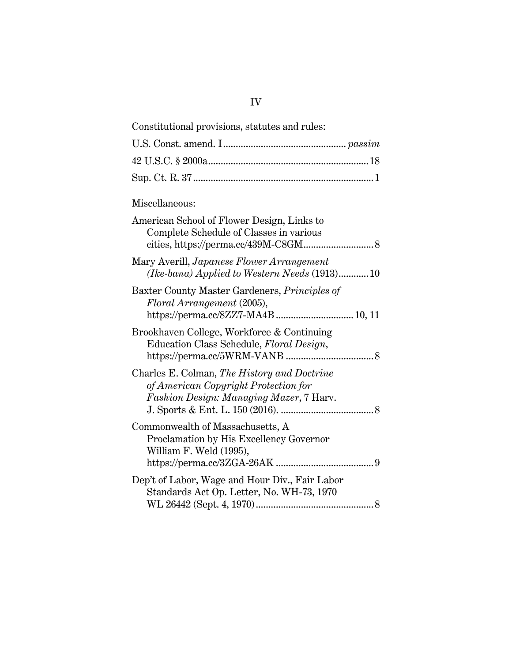| Constitutional provisions, statutes and rules:                                                                                 |  |
|--------------------------------------------------------------------------------------------------------------------------------|--|
|                                                                                                                                |  |
|                                                                                                                                |  |
|                                                                                                                                |  |
| Miscellaneous:                                                                                                                 |  |
| American School of Flower Design, Links to<br>Complete Schedule of Classes in various                                          |  |
| Mary Averill, Japanese Flower Arrangement<br>(Ike-bana) Applied to Western Needs (1913)10                                      |  |
| Baxter County Master Gardeners, <i>Principles of</i><br>Floral Arrangement (2005),<br>https://perma.cc/8ZZ7-MA4B 10, 11        |  |
| Brookhaven College, Workforce & Continuing<br>Education Class Schedule, Floral Design,                                         |  |
| Charles E. Colman, The History and Doctrine<br>of American Copyright Protection for<br>Fashion Design: Managing Mazer, 7 Harv. |  |
| Commonwealth of Massachusetts, A<br>Proclamation by His Excellency Governor<br>William F. Weld (1995),                         |  |
| Dep't of Labor, Wage and Hour Div., Fair Labor<br>Standards Act Op. Letter, No. WH-73, 1970                                    |  |
|                                                                                                                                |  |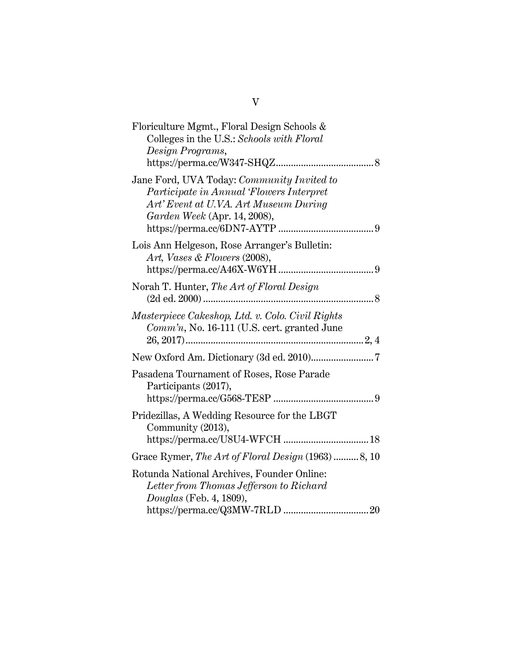| Floriculture Mgmt., Floral Design Schools &<br>Colleges in the U.S.: Schools with Floral<br>Design Programs,                                                    |  |
|-----------------------------------------------------------------------------------------------------------------------------------------------------------------|--|
|                                                                                                                                                                 |  |
| Jane Ford, UVA Today: Community Invited to<br>Participate in Annual 'Flowers Interpret<br>Art' Event at U.VA. Art Museum During<br>Garden Week (Apr. 14, 2008), |  |
| Lois Ann Helgeson, Rose Arranger's Bulletin:<br>Art, Vases & Flowers (2008),                                                                                    |  |
| Norah T. Hunter, The Art of Floral Design                                                                                                                       |  |
| Masterpiece Cakeshop, Ltd. v. Colo. Civil Rights<br>$Comm'n$ , No. 16-111 (U.S. cert. granted June                                                              |  |
|                                                                                                                                                                 |  |
| Pasadena Tournament of Roses, Rose Parade<br>Participants (2017),                                                                                               |  |
|                                                                                                                                                                 |  |
| Pridezillas, A Wedding Resource for the LBGT<br>Community (2013),                                                                                               |  |
| Grace Rymer, The Art of Floral Design (1963) 8, 10                                                                                                              |  |
| Rotunda National Archives, Founder Online:<br>Letter from Thomas Jefferson to Richard<br><i>Douglas</i> (Feb. 4, 1809),                                         |  |
|                                                                                                                                                                 |  |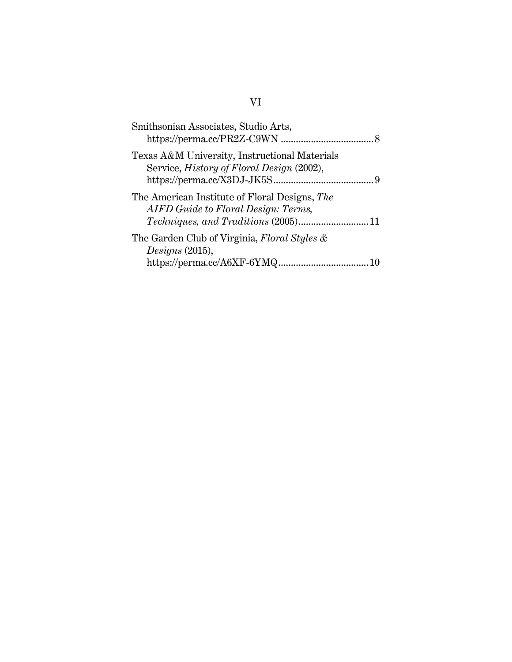| Smithsonian Associates, Studio Arts,                                                              |  |
|---------------------------------------------------------------------------------------------------|--|
| Texas A&M University, Instructional Materials<br>Service, <i>History of Floral Design</i> (2002), |  |
| The American Institute of Floral Designs, The<br>AIFD Guide to Floral Design: Terms,              |  |
| The Garden Club of Virginia, Floral Styles &<br>Designs (2015),                                   |  |
|                                                                                                   |  |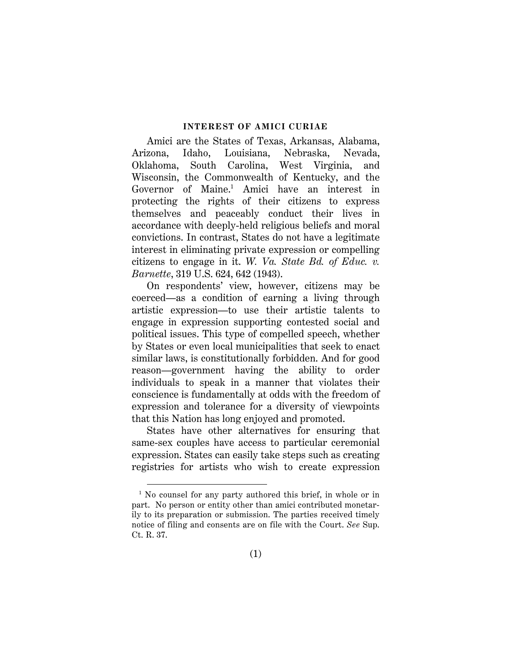#### **INTEREST OF AMICI CURIAE**

Amici are the States of Texas, Arkansas, Alabama, Arizona, Idaho, Louisiana, Nebraska, Nevada, Oklahoma, South Carolina, West Virginia, and Wisconsin, the Commonwealth of Kentucky, and the Governor of Maine. <sup>1</sup> Amici have an interest in protecting the rights of their citizens to express themselves and peaceably conduct their lives in accordance with deeply-held religious beliefs and moral convictions. In contrast, States do not have a legitimate interest in eliminating private expression or compelling citizens to engage in it. *W. Va. State Bd. of Educ. v. Barnette*, 319 U.S. 624, 642 (1943).

<span id="page-7-0"></span>On respondents' view, however, citizens may be coerced—as a condition of earning a living through artistic expression—to use their artistic talents to engage in expression supporting contested social and political issues. This type of compelled speech, whether by States or even local municipalities that seek to enact similar laws, is constitutionally forbidden. And for good reason—government having the ability to order individuals to speak in a manner that violates their conscience is fundamentally at odds with the freedom of expression and tolerance for a diversity of viewpoints that this Nation has long enjoyed and promoted.

States have other alternatives for ensuring that same-sex couples have access to particular ceremonial expression. States can easily take steps such as creating registries for artists who wish to create expression

<sup>&</sup>lt;sup>1</sup> No counsel for any party authored this brief, in whole or in part. No person or entity other than amici contributed monetarily to its preparation or submission. The parties received timely notice of filing and consents are on file with the Court. *See* Sup. Ct. R. 37.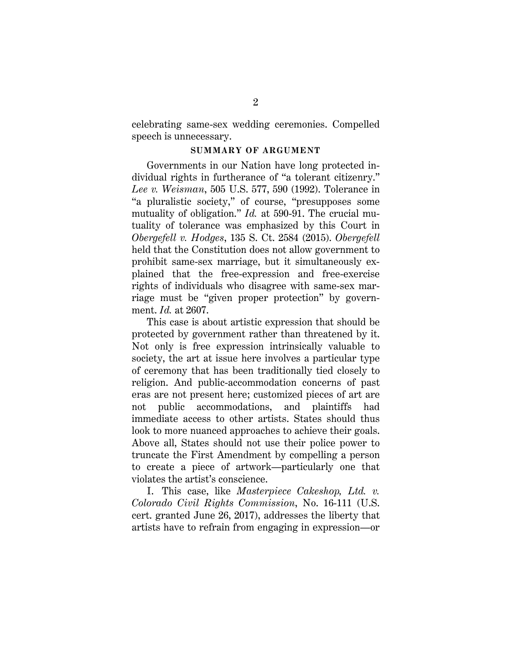celebrating same-sex wedding ceremonies. Compelled speech is unnecessary.

#### <span id="page-8-0"></span>**SUMMARY OF ARGUMENT**

<span id="page-8-1"></span>Governments in our Nation have long protected individual rights in furtherance of "a tolerant citizenry." *Lee v. Weisman*, 505 U.S. 577, 590 (1992). Tolerance in "a pluralistic society," of course, "presupposes some mutuality of obligation." *Id.* at 590-91. The crucial mutuality of tolerance was emphasized by this Court in *Obergefell v. Hodges*, 135 S. Ct. 2584 (2015). *Obergefell* held that the Constitution does not allow government to prohibit same-sex marriage, but it simultaneously explained that the free-expression and free-exercise rights of individuals who disagree with same-sex marriage must be "given proper protection" by government. *Id.* at 2607.

This case is about artistic expression that should be protected by government rather than threatened by it. Not only is free expression intrinsically valuable to society, the art at issue here involves a particular type of ceremony that has been traditionally tied closely to religion. And public-accommodation concerns of past eras are not present here; customized pieces of art are not public accommodations, and plaintiffs had immediate access to other artists. States should thus look to more nuanced approaches to achieve their goals. Above all, States should not use their police power to truncate the First Amendment by compelling a person to create a piece of artwork—particularly one that violates the artist's conscience.

<span id="page-8-2"></span>I. This case, like *Masterpiece Cakeshop, Ltd. v. Colorado Civil Rights Commission*, No. 16-111 (U.S. cert. granted June 26, 2017), addresses the liberty that artists have to refrain from engaging in expression—or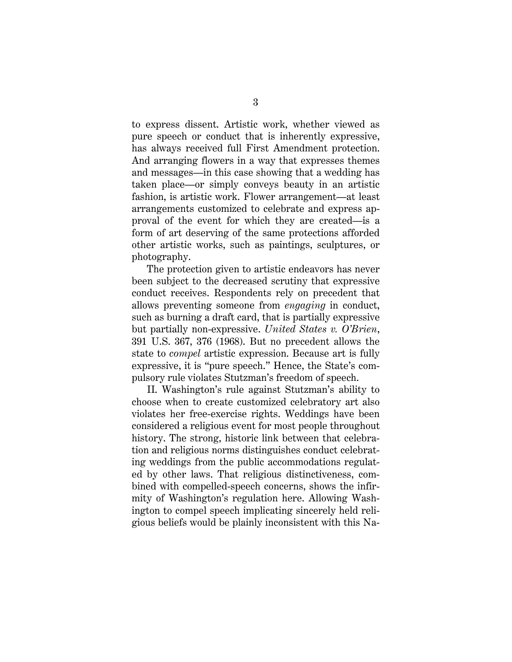to express dissent. Artistic work, whether viewed as pure speech or conduct that is inherently expressive, has always received full First Amendment protection. And arranging flowers in a way that expresses themes and messages—in this case showing that a wedding has taken place—or simply conveys beauty in an artistic fashion, is artistic work. Flower arrangement—at least arrangements customized to celebrate and express approval of the event for which they are created—is a form of art deserving of the same protections afforded other artistic works, such as paintings, sculptures, or photography.

The protection given to artistic endeavors has never been subject to the decreased scrutiny that expressive conduct receives. Respondents rely on precedent that allows preventing someone from *engaging* in conduct, such as burning a draft card, that is partially expressive but partially non-expressive. *United States v. O'Brien*, 391 U.S. 367, 376 (1968). But no precedent allows the state to *compel* artistic expression. Because art is fully expressive, it is "pure speech." Hence, the State's compulsory rule violates Stutzman's freedom of speech.

II. Washington's rule against Stutzman's ability to choose when to create customized celebratory art also violates her free-exercise rights. Weddings have been considered a religious event for most people throughout history. The strong, historic link between that celebration and religious norms distinguishes conduct celebrating weddings from the public accommodations regulated by other laws. That religious distinctiveness, combined with compelled-speech concerns, shows the infirmity of Washington's regulation here. Allowing Washington to compel speech implicating sincerely held religious beliefs would be plainly inconsistent with this Na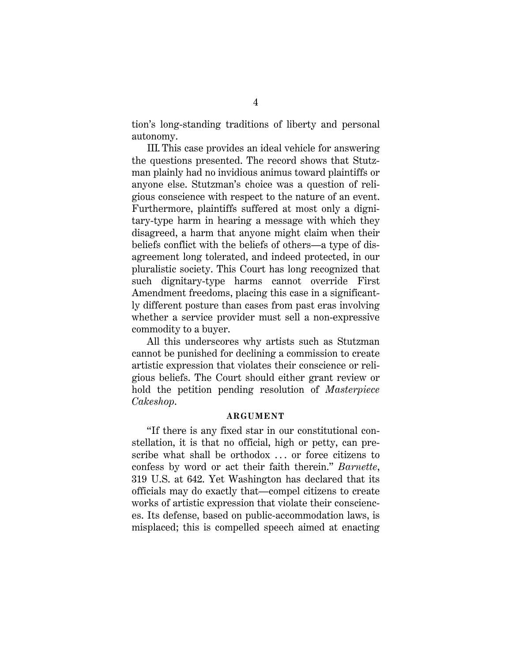tion's long-standing traditions of liberty and personal autonomy.

III. This case provides an ideal vehicle for answering the questions presented. The record shows that Stutzman plainly had no invidious animus toward plaintiffs or anyone else. Stutzman's choice was a question of religious conscience with respect to the nature of an event. Furthermore, plaintiffs suffered at most only a dignitary-type harm in hearing a message with which they disagreed, a harm that anyone might claim when their beliefs conflict with the beliefs of others—a type of disagreement long tolerated, and indeed protected, in our pluralistic society. This Court has long recognized that such dignitary-type harms cannot override First Amendment freedoms, placing this case in a significantly different posture than cases from past eras involving whether a service provider must sell a non-expressive commodity to a buyer.

All this underscores why artists such as Stutzman cannot be punished for declining a commission to create artistic expression that violates their conscience or religious beliefs. The Court should either grant review or hold the petition pending resolution of *Masterpiece Cakeshop*.

#### <span id="page-10-1"></span><span id="page-10-0"></span>**ARGUMENT**

"If there is any fixed star in our constitutional constellation, it is that no official, high or petty, can prescribe what shall be orthodox ... or force citizens to confess by word or act their faith therein." *Barnette*, 319 U.S. at 642. Yet Washington has declared that its officials may do exactly that—compel citizens to create works of artistic expression that violate their consciences. Its defense, based on public-accommodation laws, is misplaced; this is compelled speech aimed at enacting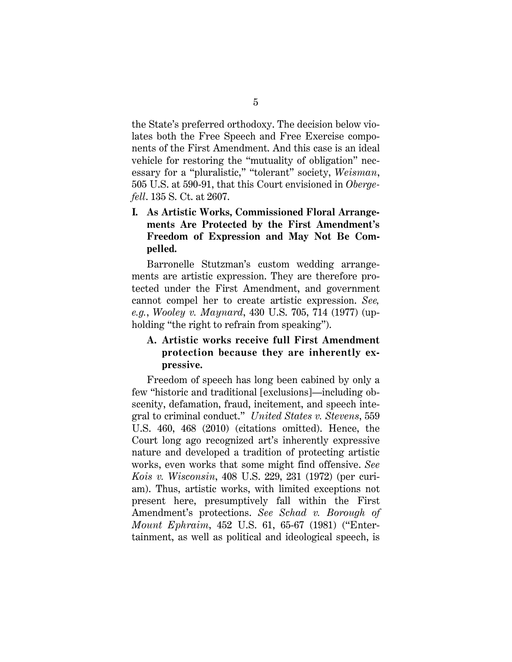the State's preferred orthodoxy. The decision below violates both the Free Speech and Free Exercise components of the First Amendment. And this case is an ideal vehicle for restoring the "mutuality of obligation" necessary for a "pluralistic," "tolerant" society, *Weisman*, 505 U.S. at 590-91, that this Court envisioned in *Obergefell*. 135 S. Ct. at 2607.

# <span id="page-11-2"></span><span id="page-11-1"></span>**I. As Artistic Works, Commissioned Floral Arrangements Are Protected by the First Amendment's Freedom of Expression and May Not Be Compelled.**

Barronelle Stutzman's custom wedding arrangements are artistic expression. They are therefore protected under the First Amendment, and government cannot compel her to create artistic expression. *See, e.g.*, *Wooley v. Maynard*, 430 U.S. 705, 714 (1977) (upholding "the right to refrain from speaking").

# <span id="page-11-5"></span>**A. Artistic works receive full First Amendment protection because they are inherently expressive.**

<span id="page-11-4"></span><span id="page-11-3"></span><span id="page-11-0"></span>Freedom of speech has long been cabined by only a few "historic and traditional [exclusions]—including obscenity, defamation, fraud, incitement, and speech integral to criminal conduct." *United States v. Stevens*, 559 U.S. 460, 468 (2010) (citations omitted). Hence, the Court long ago recognized art's inherently expressive nature and developed a tradition of protecting artistic works, even works that some might find offensive. *See Kois v. Wisconsin*, 408 U.S. 229, 231 (1972) (per curiam). Thus, artistic works, with limited exceptions not present here, presumptively fall within the First Amendment's protections. *See Schad v. Borough of Mount Ephraim*, 452 U.S. 61, 65-67 (1981) ("Entertainment, as well as political and ideological speech, is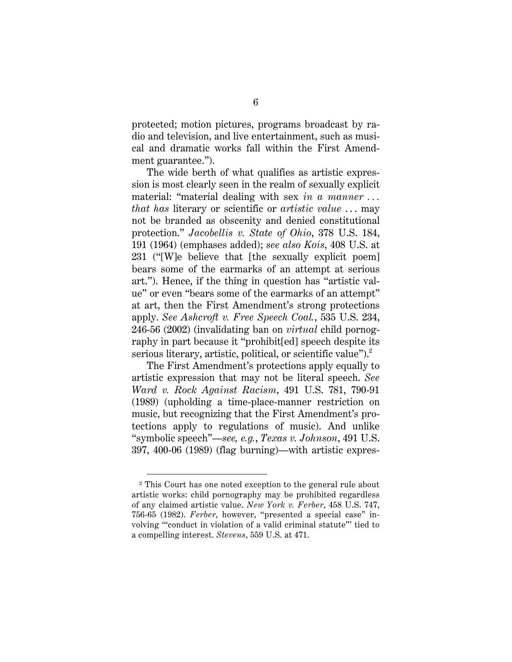protected; motion pictures, programs broadcast by radio and television, and live entertainment, such as musical and dramatic works fall within the First Amendment guarantee.").

<span id="page-12-2"></span><span id="page-12-1"></span>The wide berth of what qualifies as artistic expression is most clearly seen in the realm of sexually explicit material: "material dealing with sex *in a manner . . . that has* literary or scientific or *artistic value* . . . may not be branded as obscenity and denied constitutional protection." *Jacobellis v. State of Ohio*, 378 U.S. 184, 191 (1964) (emphases added); *see also Kois*, 408 U.S. at 231 ("[W]e believe that [the sexually explicit poem] bears some of the earmarks of an attempt at serious art."). Hence, if the thing in question has "artistic value" or even "bears some of the earmarks of an attempt" at art, then the First Amendment's strong protections apply. *See Ashcroft v. Free Speech Coal.*, 535 U.S. 234, 246-56 (2002) (invalidating ban on *virtual* child pornography in part because it "prohibit[ed] speech despite its serious literary, artistic, political, or scientific value").<sup>2</sup>

<span id="page-12-6"></span><span id="page-12-0"></span>The First Amendment's protections apply equally to artistic expression that may not be literal speech. *See Ward v. Rock Against Racism*, 491 U.S. 781, 790-91 (1989) (upholding a time-place-manner restriction on music, but recognizing that the First Amendment's protections apply to regulations of music). And unlike "symbolic speech"—*see, e.g.*, *Texas v. Johnson*, 491 U.S. 397, 400-06 (1989) (flag burning)—with artistic expres-

<span id="page-12-5"></span><span id="page-12-4"></span><span id="page-12-3"></span> $\overline{a}$ 

<sup>2</sup> This Court has one noted exception to the general rule about artistic works: child pornography may be prohibited regardless of any claimed artistic value. *New York v. Ferber*, 458 U.S. 747, 756-65 (1982). *Ferber*, however, "presented a special case" involving '"conduct in violation of a valid criminal statute"' tied to a compelling interest. *Stevens*, 559 U.S. at 471.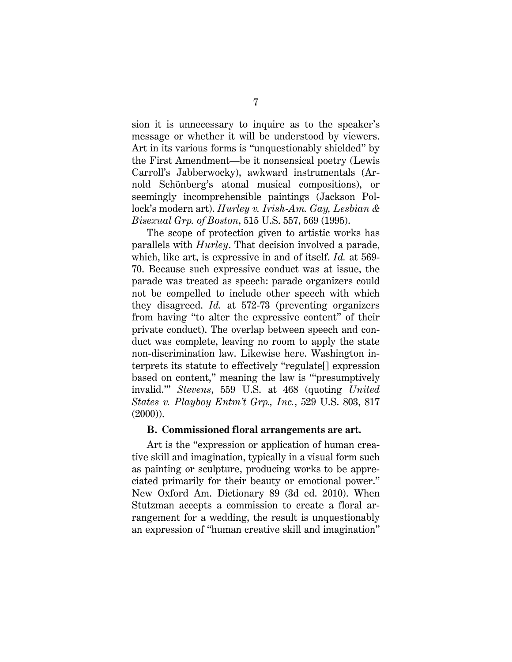sion it is unnecessary to inquire as to the speaker's message or whether it will be understood by viewers. Art in its various forms is "unquestionably shielded" by the First Amendment—be it nonsensical poetry (Lewis Carroll's Jabberwocky), awkward instrumentals (Arnold Schönberg's atonal musical compositions), or seemingly incomprehensible paintings (Jackson Pollock's modern art). *Hurley v. Irish-Am. Gay, Lesbian & Bisexual Grp. of Boston*, 515 U.S. 557, 569 (1995).

The scope of protection given to artistic works has parallels with *Hurley*. That decision involved a parade, which, like art, is expressive in and of itself. *Id.* at 569- 70. Because such expressive conduct was at issue, the parade was treated as speech: parade organizers could not be compelled to include other speech with which they disagreed. *Id.* at 572-73 (preventing organizers from having "to alter the expressive content" of their private conduct). The overlap between speech and conduct was complete, leaving no room to apply the state non-discrimination law. Likewise here. Washington interprets its statute to effectively "regulate[] expression based on content," meaning the law is '"presumptively invalid."' *Stevens*, 559 U.S. at 468 (quoting *United States v. Playboy Entm't Grp., Inc.*, 529 U.S. 803, 817 (2000)).

#### <span id="page-13-1"></span><span id="page-13-0"></span>**B. Commissioned floral arrangements are art.**

<span id="page-13-2"></span>Art is the "expression or application of human creative skill and imagination, typically in a visual form such as painting or sculpture, producing works to be appreciated primarily for their beauty or emotional power." New Oxford Am. Dictionary 89 (3d ed. 2010). When Stutzman accepts a commission to create a floral arrangement for a wedding, the result is unquestionably an expression of "human creative skill and imagination"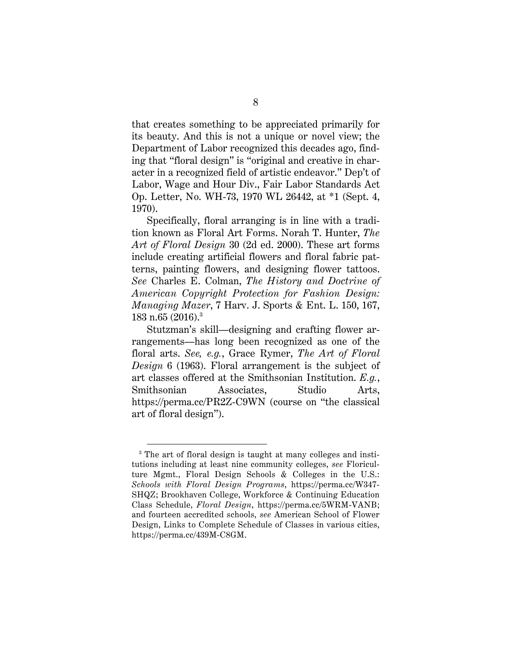that creates something to be appreciated primarily for its beauty. And this is not a unique or novel view; the Department of Labor recognized this decades ago, finding that "floral design" is "original and creative in character in a recognized field of artistic endeavor." Dep't of Labor, Wage and Hour Div., Fair Labor Standards Act Op. Letter, No. WH-73, 1970 WL 26442, at \*1 (Sept. 4, 1970).

<span id="page-14-4"></span>Specifically, floral arranging is in line with a tradition known as Floral Art Forms. Norah T. Hunter, *The Art of Floral Design* 30 (2d ed. 2000). These art forms include creating artificial flowers and floral fabric patterns, painting flowers, and designing flower tattoos. *See* Charles E. Colman, *The History and Doctrine of American Copyright Protection for Fashion Design: Managing Mazer*, 7 Harv. J. Sports & Ent. L. 150, 167, 183 n.65  $(2016)^3$ 

<span id="page-14-6"></span><span id="page-14-5"></span><span id="page-14-2"></span>Stutzman's skill—designing and crafting flower arrangements—has long been recognized as one of the floral arts. *See, e.g.*, Grace Rymer, *The Art of Floral Design* 6 (1963). Floral arrangement is the subject of art classes offered at the Smithsonian Institution. *E.g.*, Smithsonian Associates, Studio Arts, <https://perma.cc/PR2Z-C9WN> (course on "the classical art of floral design").

<span id="page-14-3"></span><span id="page-14-1"></span><span id="page-14-0"></span><sup>&</sup>lt;sup>3</sup> The art of floral design is taught at many colleges and institutions including at least nine community colleges, *see* Floriculture Mgmt., Floral Design Schools & Colleges in the U.S.: *Schools with Floral Design Programs*, https://perma.cc/W347- SHQZ; Brookhaven College, Workforce & Continuing Education Class Schedule, *Floral Design*, https://perma.cc/5WRM-VANB; and fourteen accredited schools, *see* American School of Flower Design, Links to Complete Schedule of Classes in various cities, https://perma.cc/439M-C8GM.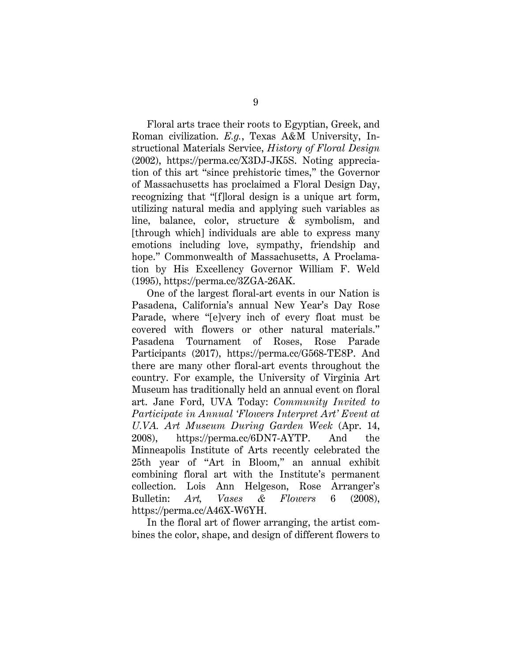<span id="page-15-4"></span>Floral arts trace their roots to Egyptian, Greek, and Roman civilization. *E.g.*, Texas A&M University, Instructional Materials Service, *History of Floral Design* (2002), [https://perma.cc/X3DJ-JK5S.](https://perma.cc/X3DJ-JK5S) Noting appreciation of this art "since prehistoric times," the Governor of Massachusetts has proclaimed a Floral Design Day, recognizing that "[f]loral design is a unique art form, utilizing natural media and applying such variables as line, balance, color, structure & symbolism, and [through which] individuals are able to express many emotions including love, sympathy, friendship and hope." Commonwealth of Massachusetts, A Proclamation by His Excellency Governor William F. Weld (1995), https://perma.cc/3ZGA-26AK.

<span id="page-15-3"></span><span id="page-15-1"></span><span id="page-15-0"></span>One of the largest floral-art events in our Nation is Pasadena, California's annual New Year's Day Rose Parade, where "[e]very inch of every float must be covered with flowers or other natural materials." Pasadena Tournament of Roses, Rose Parade Participants (2017), https://perma.cc/G568-TE8P. And there are many other floral-art events throughout the country. For example, the University of Virginia Art Museum has traditionally held an annual event on floral art. Jane Ford, UVA Today: *Community Invited to Participate in Annual 'Flowers Interpret Art' Event at U.VA. Art Museum During Garden Week* (Apr. 14, 2008), https://perma.cc/6DN7-AYTP. And the Minneapolis Institute of Arts recently celebrated the 25th year of "Art in Bloom," an annual exhibit combining floral art with the Institute's permanent collection. Lois Ann Helgeson, Rose Arranger's Bulletin: *Art, Vases & Flowers* 6 (2008), https://perma.cc/A46X-W6YH.

<span id="page-15-2"></span>In the floral art of flower arranging, the artist combines the color, shape, and design of different flowers to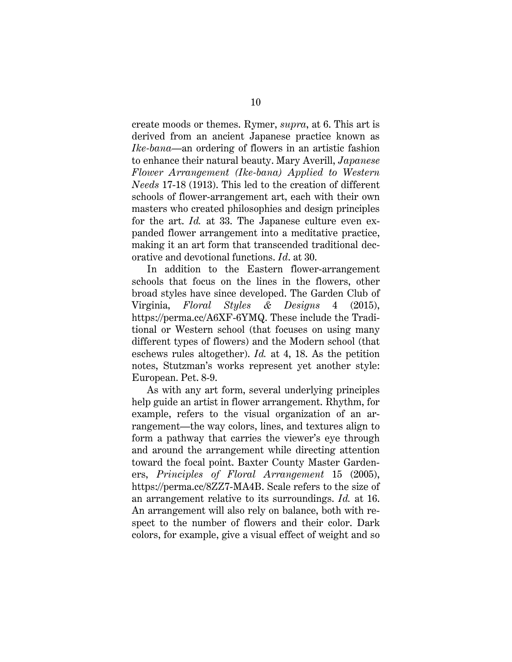create moods or themes. Rymer, *supra*, at 6. This art is derived from an ancient Japanese practice known as *Ike-bana*—an ordering of flowers in an artistic fashion to enhance their natural beauty. Mary Averill, *Japanese Flower Arrangement (Ike-bana) Applied to Western Needs* 17-18 (1913). This led to the creation of different schools of flower-arrangement art, each with their own masters who created philosophies and design principles for the art. *Id.* at 33. The Japanese culture even expanded flower arrangement into a meditative practice, making it an art form that transcended traditional decorative and devotional functions. *Id*. at 30.

<span id="page-16-0"></span>In addition to the Eastern flower-arrangement schools that focus on the lines in the flowers, other broad styles have since developed. The Garden Club of Virginia, *Floral Styles & Designs* 4 (2015), https://perma.cc/A6XF-6YMQ. These include the Traditional or Western school (that focuses on using many different types of flowers) and the Modern school (that eschews rules altogether). *Id.* at 4, 18. As the petition notes, Stutzman's works represent yet another style: European. Pet. 8-9.

<span id="page-16-1"></span>As with any art form, several underlying principles help guide an artist in flower arrangement. Rhythm, for example, refers to the visual organization of an arrangement—the way colors, lines, and textures align to form a pathway that carries the viewer's eye through and around the arrangement while directing attention toward the focal point. Baxter County Master Gardeners, *Principles of Floral Arrangement* 15 (2005), https://perma.cc/8ZZ7-MA4B. Scale refers to the size of an arrangement relative to its surroundings. *Id.* at 16. An arrangement will also rely on balance, both with respect to the number of flowers and their color. Dark colors, for example, give a visual effect of weight and so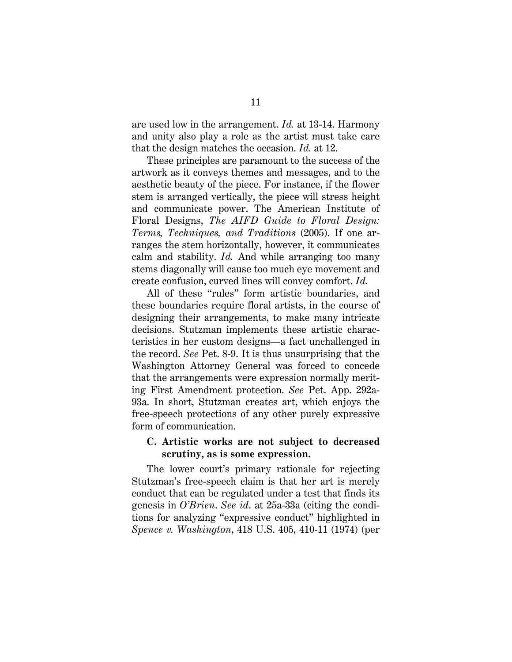are used low in the arrangement. *Id.* at 13-14. Harmony and unity also play a role as the artist must take care that the design matches the occasion. *Id.* at 12.

<span id="page-17-1"></span>These principles are paramount to the success of the artwork as it conveys themes and messages, and to the aesthetic beauty of the piece. For instance, if the flower stem is arranged vertically, the piece will stress height and communicate power. The American Institute of Floral Designs, *The AIFD Guide to Floral Design: Terms, Techniques, and Traditions* (2005). If one arranges the stem horizontally, however, it communicates calm and stability. *Id.* And while arranging too many stems diagonally will cause too much eye movement and create confusion, curved lines will convey comfort. *Id.*

All of these "rules" form artistic boundaries, and these boundaries require floral artists, in the course of designing their arrangements, to make many intricate decisions. Stutzman implements these artistic characteristics in her custom designs—a fact unchallenged in the record. *See* Pet. 8-9. It is thus unsurprising that the Washington Attorney General was forced to concede that the arrangements were expression normally meriting First Amendment protection. *See* Pet. App. 292a-93a. In short, Stutzman creates art, which enjoys the free-speech protections of any other purely expressive form of communication.

#### **C. Artistic works are not subject to decreased scrutiny, as is some expression.**

<span id="page-17-0"></span>The lower court's primary rationale for rejecting Stutzman's free-speech claim is that her art is merely conduct that can be regulated under a test that finds its genesis in *O'Brien*. *See id*. at 25a-33a (citing the conditions for analyzing "expressive conduct" highlighted in *Spence v. Washington*, 418 U.S. 405, 410-11 (1974) (per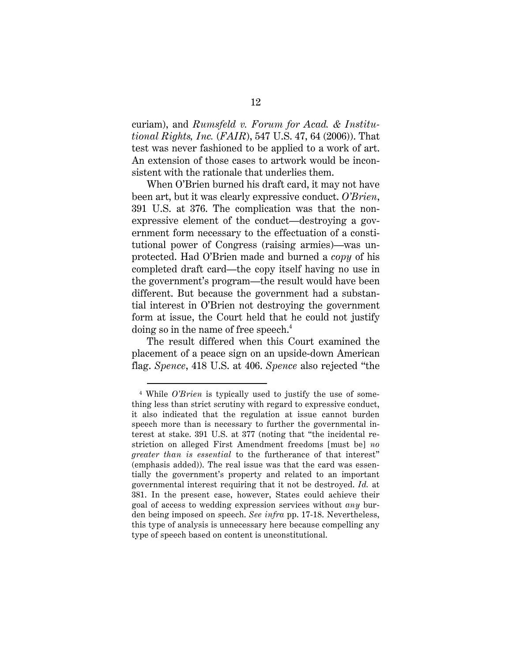<span id="page-18-0"></span>curiam), and *Rumsfeld v. Forum for Acad. & Institutional Rights, Inc.* (*FAIR*), 547 U.S. 47, 64 (2006)). That test was never fashioned to be applied to a work of art. An extension of those cases to artwork would be inconsistent with the rationale that underlies them.

When O'Brien burned his draft card, it may not have been art, but it was clearly expressive conduct. *O'Brien*, 391 U.S. at 376. The complication was that the nonexpressive element of the conduct—destroying a government form necessary to the effectuation of a constitutional power of Congress (raising armies)—was unprotected. Had O'Brien made and burned a *copy* of his completed draft card—the copy itself having no use in the government's program—the result would have been different. But because the government had a substantial interest in O'Brien not destroying the government form at issue, the Court held that he could not justify doing so in the name of free speech.<sup>4</sup>

The result differed when this Court examined the placement of a peace sign on an upside-down American flag. *Spence*, 418 U.S. at 406. *Spence* also rejected "the

<span id="page-18-1"></span> $\overline{a}$ 

<sup>4</sup> While *O'Brien* is typically used to justify the use of something less than strict scrutiny with regard to expressive conduct, it also indicated that the regulation at issue cannot burden speech more than is necessary to further the governmental interest at stake. 391 U.S. at 377 (noting that "the incidental restriction on alleged First Amendment freedoms [must be] *no greater than is essential* to the furtherance of that interest" (emphasis added)). The real issue was that the card was essentially the government's property and related to an important governmental interest requiring that it not be destroyed. *Id.* at 381. In the present case, however, States could achieve their goal of access to wedding expression services without *any* burden being imposed on speech. *See infra* pp. 17-18. Nevertheless, this type of analysis is unnecessary here because compelling any type of speech based on content is unconstitutional.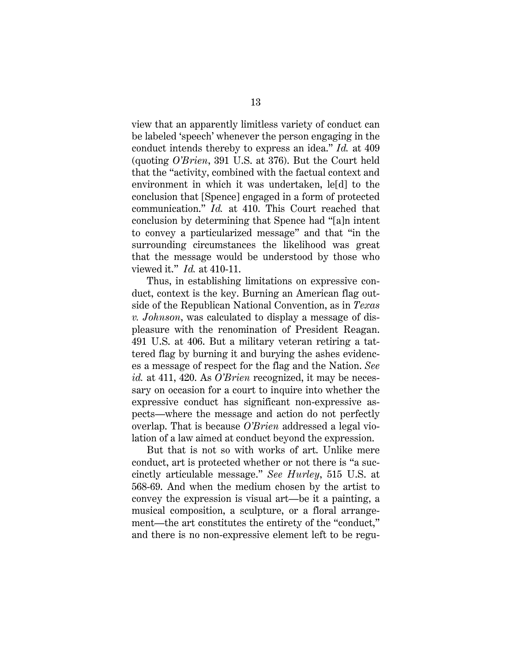view that an apparently limitless variety of conduct can be labeled 'speech' whenever the person engaging in the conduct intends thereby to express an idea." *Id.* at 409 (quoting *O'Brien*, 391 U.S. at 376). But the Court held that the "activity, combined with the factual context and environment in which it was undertaken, le[d] to the conclusion that [Spence] engaged in a form of protected communication." *Id.* at 410. This Court reached that conclusion by determining that Spence had "[a]n intent to convey a particularized message" and that "in the surrounding circumstances the likelihood was great that the message would be understood by those who viewed it." *Id.* at 410-11.

<span id="page-19-1"></span><span id="page-19-0"></span>Thus, in establishing limitations on expressive conduct, context is the key. Burning an American flag outside of the Republican National Convention, as in *Texas v. Johnson*, was calculated to display a message of displeasure with the renomination of President Reagan. 491 U.S. at 406. But a military veteran retiring a tattered flag by burning it and burying the ashes evidences a message of respect for the flag and the Nation. *See id.* at 411, 420. As *O'Brien* recognized, it may be necessary on occasion for a court to inquire into whether the expressive conduct has significant non-expressive aspects—where the message and action do not perfectly overlap. That is because *O'Brien* addressed a legal violation of a law aimed at conduct beyond the expression.

But that is not so with works of art. Unlike mere conduct, art is protected whether or not there is "a succinctly articulable message." *See Hurley*, 515 U.S. at 568-69. And when the medium chosen by the artist to convey the expression is visual art—be it a painting, a musical composition, a sculpture, or a floral arrangement—the art constitutes the entirety of the "conduct," and there is no non-expressive element left to be regu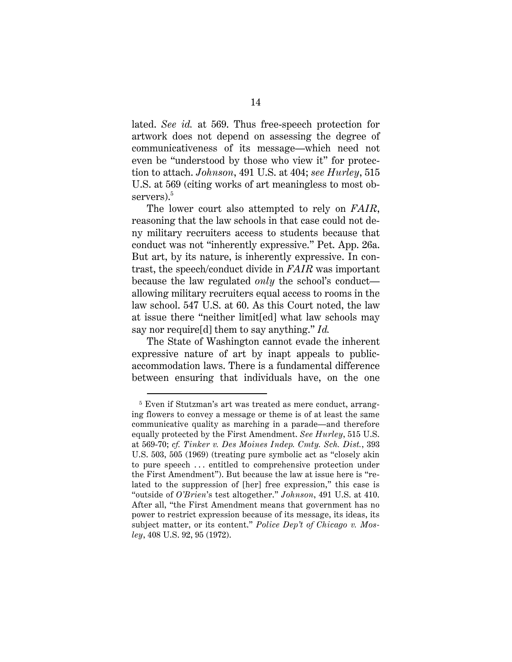lated. *See id.* at 569. Thus free-speech protection for artwork does not depend on assessing the degree of communicativeness of its message—which need not even be "understood by those who view it" for protection to attach. *Johnson*, 491 U.S. at 404; *see Hurley*, 515 U.S. at 569 (citing works of art meaningless to most observers).<sup>5</sup>

The lower court also attempted to rely on *FAIR*, reasoning that the law schools in that case could not deny military recruiters access to students because that conduct was not "inherently expressive." Pet. App. 26a. But art, by its nature, is inherently expressive. In contrast, the speech/conduct divide in *FAIR* was important because the law regulated *only* the school's conduct allowing military recruiters equal access to rooms in the law school. 547 U.S. at 60. As this Court noted, the law at issue there "neither limit[ed] what law schools may say nor require[d] them to say anything." *Id.*

<span id="page-20-1"></span>The State of Washington cannot evade the inherent expressive nature of art by inapt appeals to publicaccommodation laws. There is a fundamental difference between ensuring that individuals have, on the one

<span id="page-20-3"></span><span id="page-20-2"></span><span id="page-20-0"></span> $\overline{a}$ 

<sup>5</sup> Even if Stutzman's art was treated as mere conduct, arranging flowers to convey a message or theme is of at least the same communicative quality as marching in a parade—and therefore equally protected by the First Amendment. *See Hurley*, 515 U.S. at 569-70; *cf. Tinker v. Des Moines Indep. Cmty. Sch. Dist.*, 393 U.S. 503, 505 (1969) (treating pure symbolic act as "closely akin to pure speech . . . entitled to comprehensive protection under the First Amendment"). But because the law at issue here is "related to the suppression of [her] free expression," this case is "outside of *O'Brien*'s test altogether." *Johnson*, 491 U.S. at 410. After all, "the First Amendment means that government has no power to restrict expression because of its message, its ideas, its subject matter, or its content." *Police Dep't of Chicago v. Mosley*, 408 U.S. 92, 95 (1972).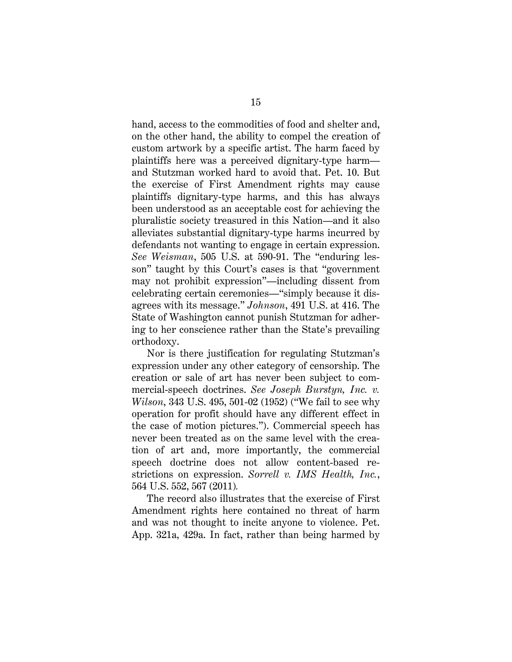hand, access to the commodities of food and shelter and, on the other hand, the ability to compel the creation of custom artwork by a specific artist. The harm faced by plaintiffs here was a perceived dignitary-type harm and Stutzman worked hard to avoid that. Pet. 10. But the exercise of First Amendment rights may cause plaintiffs dignitary-type harms, and this has always been understood as an acceptable cost for achieving the pluralistic society treasured in this Nation—and it also alleviates substantial dignitary-type harms incurred by defendants not wanting to engage in certain expression. *See Weisman*, 505 U.S. at 590-91. The "enduring lesson" taught by this Court's cases is that "government may not prohibit expression"—including dissent from celebrating certain ceremonies—"simply because it disagrees with its message." *Johnson*, 491 U.S. at 416. The State of Washington cannot punish Stutzman for adhering to her conscience rather than the State's prevailing orthodoxy.

<span id="page-21-3"></span><span id="page-21-1"></span><span id="page-21-0"></span>Nor is there justification for regulating Stutzman's expression under any other category of censorship. The creation or sale of art has never been subject to commercial-speech doctrines. *See Joseph Burstyn, Inc. v. Wilson*, 343 U.S. 495, 501-02 (1952) ("We fail to see why operation for profit should have any different effect in the case of motion pictures."). Commercial speech has never been treated as on the same level with the creation of art and, more importantly, the commercial speech doctrine does not allow content-based restrictions on expression. *Sorrell v. IMS Health, Inc.*, 564 U.S. 552, 567 (2011)*.*

<span id="page-21-2"></span>The record also illustrates that the exercise of First Amendment rights here contained no threat of harm and was not thought to incite anyone to violence. Pet. App. 321a, 429a. In fact, rather than being harmed by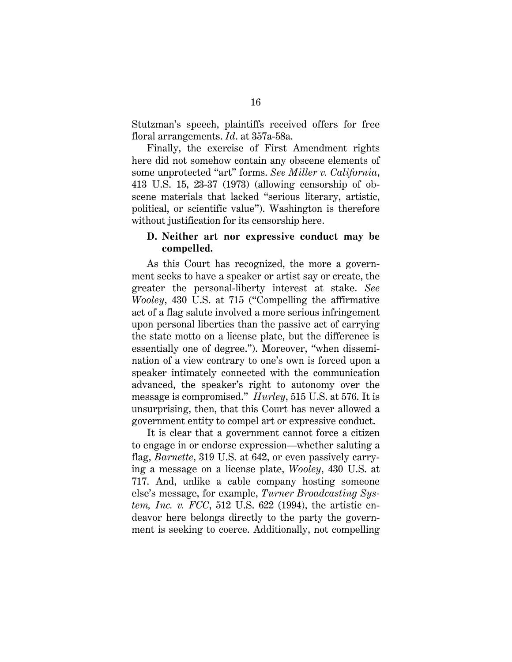Stutzman's speech, plaintiffs received offers for free floral arrangements. *Id*. at 357a-58a.

Finally, the exercise of First Amendment rights here did not somehow contain any obscene elements of some unprotected "art" forms. *See Miller v. California*, 413 U.S. 15, 23-37 (1973) (allowing censorship of obscene materials that lacked "serious literary, artistic, political, or scientific value"). Washington is therefore without justification for its censorship here.

#### **D. Neither art nor expressive conduct may be compelled.**

<span id="page-22-2"></span>As this Court has recognized, the more a government seeks to have a speaker or artist say or create, the greater the personal-liberty interest at stake. *See Wooley*, 430 U.S. at 715 ("Compelling the affirmative act of a flag salute involved a more serious infringement upon personal liberties than the passive act of carrying the state motto on a license plate, but the difference is essentially one of degree."). Moreover, "when dissemination of a view contrary to one's own is forced upon a speaker intimately connected with the communication advanced, the speaker's right to autonomy over the message is compromised." *Hurley*, 515 U.S. at 576. It is unsurprising, then, that this Court has never allowed a government entity to compel art or expressive conduct.

<span id="page-22-1"></span><span id="page-22-0"></span>It is clear that a government cannot force a citizen to engage in or endorse expression—whether saluting a flag, *Barnette*, 319 U.S. at 642, or even passively carrying a message on a license plate, *Wooley*, 430 U.S. at 717. And, unlike a cable company hosting someone else's message, for example, *Turner Broadcasting System, Inc. v. FCC*, 512 U.S. 622 (1994), the artistic endeavor here belongs directly to the party the government is seeking to coerce. Additionally, not compelling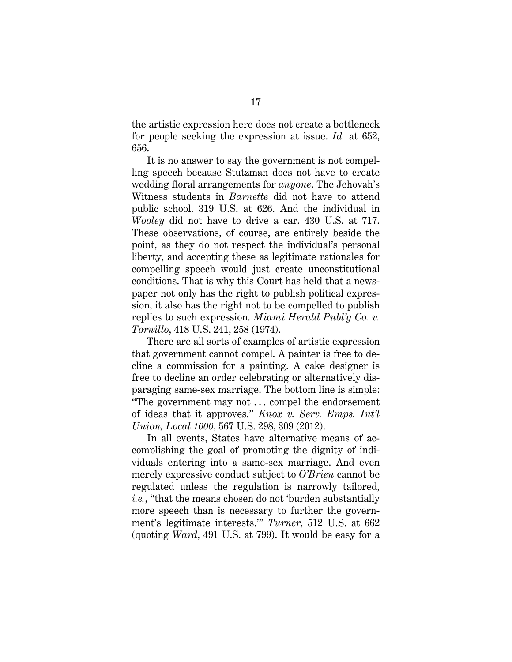the artistic expression here does not create a bottleneck for people seeking the expression at issue. *Id.* at 652, 656.

<span id="page-23-5"></span><span id="page-23-3"></span>It is no answer to say the government is not compelling speech because Stutzman does not have to create wedding floral arrangements for *anyone*. The Jehovah's Witness students in *Barnette* did not have to attend public school. 319 U.S. at 626. And the individual in *Wooley* did not have to drive a car. 430 U.S. at 717. These observations, of course, are entirely beside the point, as they do not respect the individual's personal liberty, and accepting these as legitimate rationales for compelling speech would just create unconstitutional conditions. That is why this Court has held that a newspaper not only has the right to publish political expression, it also has the right not to be compelled to publish replies to such expression. *Miami Herald Publ'g Co. v. Tornillo*, 418 U.S. 241, 258 (1974).

<span id="page-23-1"></span>There are all sorts of examples of artistic expression that government cannot compel. A painter is free to decline a commission for a painting. A cake designer is free to decline an order celebrating or alternatively disparaging same-sex marriage. The bottom line is simple: "The government may not . . . compel the endorsement of ideas that it approves." *Knox v. Serv. Emps. Int'l Union, Local 1000*, 567 U.S. 298, 309 (2012).

<span id="page-23-4"></span><span id="page-23-2"></span><span id="page-23-0"></span>In all events, States have alternative means of accomplishing the goal of promoting the dignity of individuals entering into a same-sex marriage. And even merely expressive conduct subject to *O'Brien* cannot be regulated unless the regulation is narrowly tailored, *i.e.*, "that the means chosen do not 'burden substantially more speech than is necessary to further the government's legitimate interests.'" *Turner*, 512 U.S. at 662 (quoting *Ward*, 491 U.S. at 799). It would be easy for a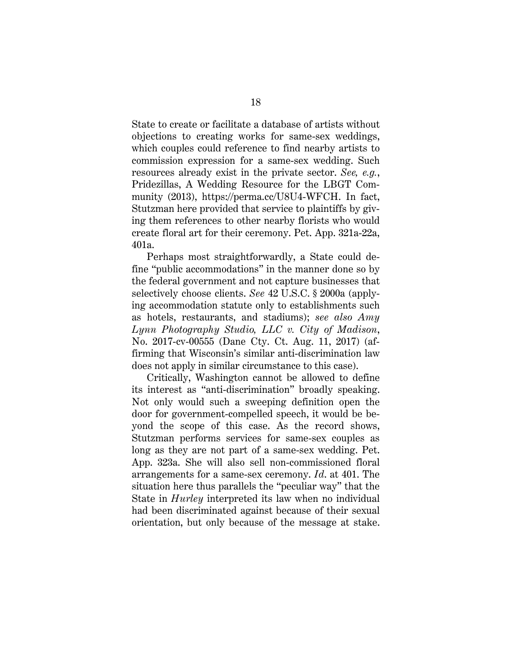State to create or facilitate a database of artists without objections to creating works for same-sex weddings, which couples could reference to find nearby artists to commission expression for a same-sex wedding. Such resources already exist in the private sector. *See, e.g.*, Pridezillas, A Wedding Resource for the LBGT Community (2013), https://perma.cc/U8U4-WFCH. In fact, Stutzman here provided that service to plaintiffs by giving them references to other nearby florists who would create floral art for their ceremony. Pet. App. 321a-22a, 401a.

<span id="page-24-0"></span>Perhaps most straightforwardly, a State could define "public accommodations" in the manner done so by the federal government and not capture businesses that selectively choose clients. *See* 42 U.S.C. § 2000a (applying accommodation statute only to establishments such as hotels, restaurants, and stadiums); *see also Amy Lynn Photography Studio, LLC v. City of Madison*, No. 2017-cv-00555 (Dane Cty. Ct. Aug. 11, 2017) (affirming that Wisconsin's similar anti-discrimination law does not apply in similar circumstance to this case).

Critically, Washington cannot be allowed to define its interest as "anti-discrimination" broadly speaking. Not only would such a sweeping definition open the door for government-compelled speech, it would be beyond the scope of this case. As the record shows, Stutzman performs services for same-sex couples as long as they are not part of a same-sex wedding. Pet. App. 323a. She will also sell non-commissioned floral arrangements for a same-sex ceremony. *Id*. at 401. The situation here thus parallels the "peculiar way" that the State in *Hurley* interpreted its law when no individual had been discriminated against because of their sexual orientation, but only because of the message at stake.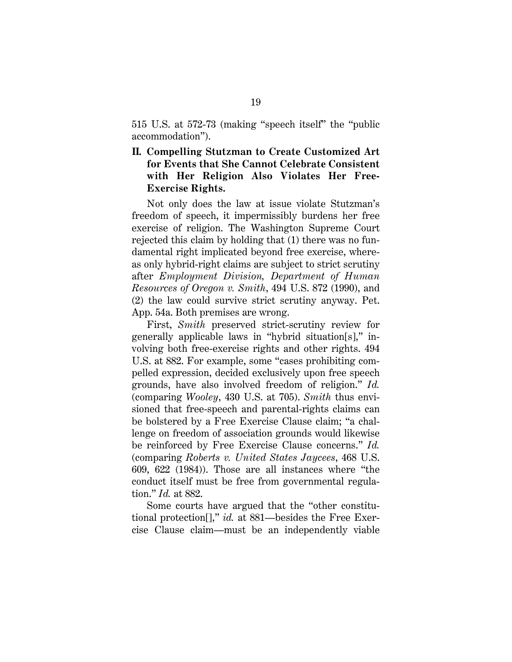515 U.S. at 572-73 (making "speech itself" the "public accommodation").

### **II. Compelling Stutzman to Create Customized Art for Events that She Cannot Celebrate Consistent with Her Religion Also Violates Her Free-Exercise Rights.**

Not only does the law at issue violate Stutzman's freedom of speech, it impermissibly burdens her free exercise of religion. The Washington Supreme Court rejected this claim by holding that (1) there was no fundamental right implicated beyond free exercise, whereas only hybrid-right claims are subject to strict scrutiny after *Employment Division, Department of Human Resources of Oregon v. Smith*, 494 U.S. 872 (1990), and (2) the law could survive strict scrutiny anyway. Pet. App. 54a. Both premises are wrong.

<span id="page-25-2"></span><span id="page-25-0"></span>First, *Smith* preserved strict-scrutiny review for generally applicable laws in "hybrid situation[s]," involving both free-exercise rights and other rights. 494 U.S. at 882. For example, some "cases prohibiting compelled expression, decided exclusively upon free speech grounds, have also involved freedom of religion." *Id.* (comparing *Wooley*, 430 U.S. at 705). *Smith* thus envisioned that free-speech and parental-rights claims can be bolstered by a Free Exercise Clause claim; "a challenge on freedom of association grounds would likewise be reinforced by Free Exercise Clause concerns." *Id.* (comparing *Roberts v. United States Jaycees*, 468 U.S. 609, 622 (1984)). Those are all instances where "the conduct itself must be free from governmental regulation." *Id.* at 882.

<span id="page-25-1"></span>Some courts have argued that the "other constitutional protection[]," *id.* at 881—besides the Free Exercise Clause claim—must be an independently viable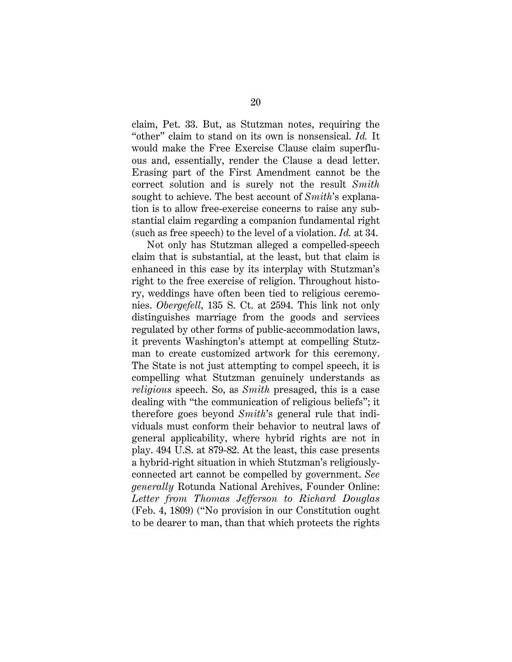<span id="page-26-0"></span>claim, Pet. 33. But, as Stutzman notes, requiring the "other" claim to stand on its own is nonsensical. *Id.* It would make the Free Exercise Clause claim superfluous and, essentially, render the Clause a dead letter. Erasing part of the First Amendment cannot be the correct solution and is surely not the result *Smith* sought to achieve. The best account of *Smith*'s explanation is to allow free-exercise concerns to raise any substantial claim regarding a companion fundamental right (such as free speech) to the level of a violation. *Id.* at 34.

<span id="page-26-2"></span><span id="page-26-1"></span>Not only has Stutzman alleged a compelled-speech claim that is substantial, at the least, but that claim is enhanced in this case by its interplay with Stutzman's right to the free exercise of religion. Throughout history, weddings have often been tied to religious ceremonies. *Obergefell*, 135 S. Ct. at 2594. This link not only distinguishes marriage from the goods and services regulated by other forms of public-accommodation laws, it prevents Washington's attempt at compelling Stutzman to create customized artwork for this ceremony. The State is not just attempting to compel speech, it is compelling what Stutzman genuinely understands as *religious* speech. So, as *Smith* presaged, this is a case dealing with "the communication of religious beliefs"; it therefore goes beyond *Smith*'s general rule that individuals must conform their behavior to neutral laws of general applicability, where hybrid rights are not in play. 494 U.S. at 879-82. At the least, this case presents a hybrid-right situation in which Stutzman's religiouslyconnected art cannot be compelled by government. *See generally* Rotunda National Archives, Founder Online: *Letter from Thomas Jefferson to Richard Douglas* (Feb. 4, 1809) ("No provision in our Constitution ought to be dearer to man, than that which protects the rights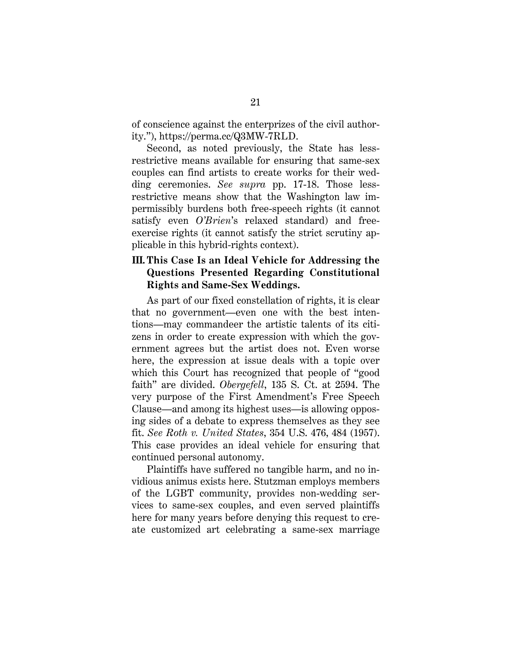of conscience against the enterprizes of the civil authority."), https://perma.cc/Q3MW-7RLD.

Second, as noted previously, the State has lessrestrictive means available for ensuring that same-sex couples can find artists to create works for their wedding ceremonies. *See supra* pp. 17-18. Those lessrestrictive means show that the Washington law impermissibly burdens both free-speech rights (it cannot satisfy even *O'Brien*'s relaxed standard) and freeexercise rights (it cannot satisfy the strict scrutiny applicable in this hybrid-rights context).

### **III. This Case Is an Ideal Vehicle for Addressing the Questions Presented Regarding Constitutional Rights and Same-Sex Weddings.**

<span id="page-27-0"></span>As part of our fixed constellation of rights, it is clear that no government—even one with the best intentions—may commandeer the artistic talents of its citizens in order to create expression with which the government agrees but the artist does not. Even worse here, the expression at issue deals with a topic over which this Court has recognized that people of "good faith" are divided. *Obergefell*, 135 S. Ct. at 2594. The very purpose of the First Amendment's Free Speech Clause—and among its highest uses—is allowing opposing sides of a debate to express themselves as they see fit. *See Roth v. United States*[, 354 U.S. 476, 484 \(1957\).](https://1.next.westlaw.com/Link/Document/FullText?findType=Y&serNum=1957120394&pubNum=708&originatingDoc=I72eb9a5f9c9a11d991d0cc6b54f12d4d&refType=RP&fi=co_pp_sp_708_1308&originationContext=document&transitionType=DocumentItem&contextData=(sc.Search)#co_pp_sp_708_1308) This case provides an ideal vehicle for ensuring that continued personal autonomy.

<span id="page-27-1"></span>Plaintiffs have suffered no tangible harm, and no invidious animus exists here. Stutzman employs members of the LGBT community, provides non-wedding services to same-sex couples, and even served plaintiffs here for many years before denying this request to create customized art celebrating a same-sex marriage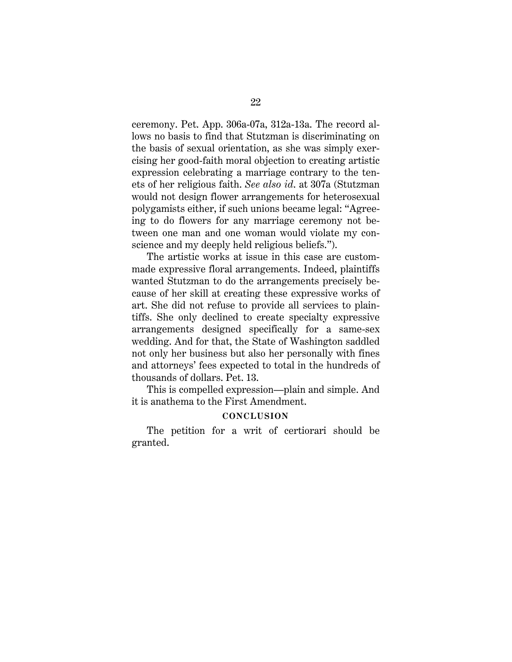ceremony. Pet. App. 306a-07a, 312a-13a. The record allows no basis to find that Stutzman is discriminating on the basis of sexual orientation, as she was simply exercising her good-faith moral objection to creating artistic expression celebrating a marriage contrary to the tenets of her religious faith. *See also id*. at 307a (Stutzman would not design flower arrangements for heterosexual polygamists either, if such unions became legal: "Agreeing to do flowers for any marriage ceremony not between one man and one woman would violate my conscience and my deeply held religious beliefs.").

The artistic works at issue in this case are custommade expressive floral arrangements. Indeed, plaintiffs wanted Stutzman to do the arrangements precisely because of her skill at creating these expressive works of art. She did not refuse to provide all services to plaintiffs. She only declined to create specialty expressive arrangements designed specifically for a same-sex wedding. And for that, the State of Washington saddled not only her business but also her personally with fines and attorneys' fees expected to total in the hundreds of thousands of dollars. Pet. 13.

This is compelled expression—plain and simple. And it is anathema to the First Amendment.

#### **CONCLUSION**

The petition for a writ of certiorari should be granted.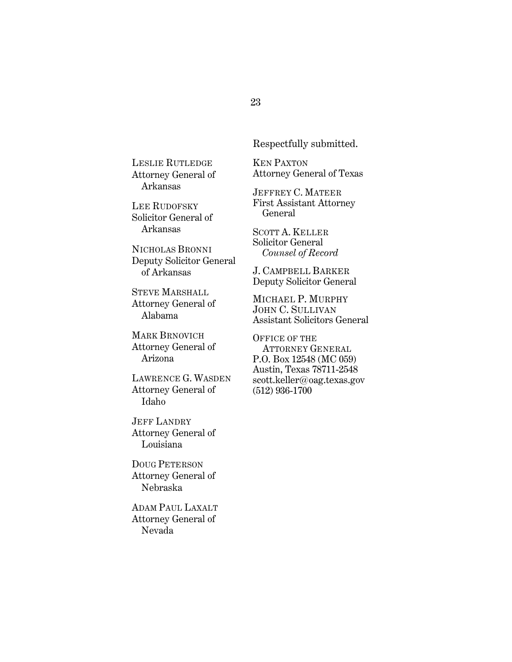LESLIE RUTLEDGE Attorney General of Arkansas

LEE RUDOFSKY Solicitor General of Arkansas

NICHOLAS BRONNI Deputy Solicitor General of Arkansas

STEVE MARSHALL Attorney General of Alabama

MARK BRNOVICH Attorney General of Arizona

LAWRENCE G. WASDEN Attorney General of Idaho

JEFF LANDRY Attorney General of Louisiana

DOUG PETERSON Attorney General of Nebraska

ADAM PAUL LAXALT Attorney General of Nevada

Respectfully submitted.

KEN PAXTON Attorney General of Texas

JEFFREY C. MATEER First Assistant Attorney General

SCOTT A. KELLER Solicitor General *Counsel of Record*

J. CAMPBELL BARKER Deputy Solicitor General

MICHAEL P. MURPHY JOHN C. SULLIVAN Assistant Solicitors General

OFFICE OF THE ATTORNEY GENERAL P.O. Box 12548 (MC 059) Austin, Texas 78711-2548 scott.keller@oag.texas.gov (512) 936-1700